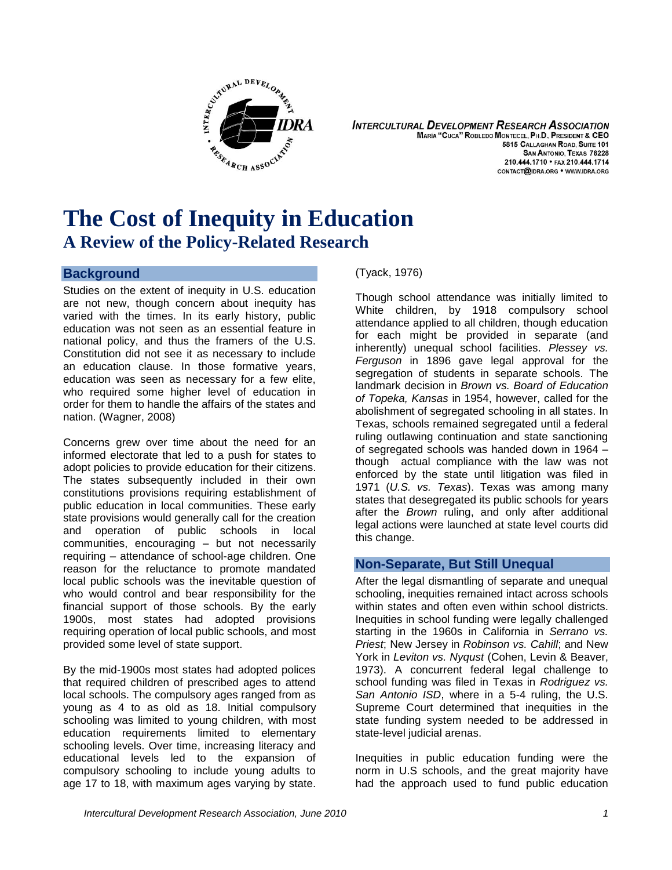

**INTERCULTURAL DEVELOPMENT RESEARCH ASSOCIATION** MARÍA "CUCA" ROBLEDO MONTECEL, PH.D., PRESIDENT & CEO 5815 CALLAGHAN ROAD, SUITE 101 **SAN ANTONIO, TEXAS 78228** 210.444.1710 • FAX 210.444.1714 CONTACT@IDRA.ORG . WWW.IDRA.ORG

# **The Cost of Inequity in Education A Review of the Policy-Related Research**

# **Background**

Studies on the extent of inequity in U.S. education are not new, though concern about inequity has varied with the times. In its early history, public education was not seen as an essential feature in national policy, and thus the framers of the U.S. Constitution did not see it as necessary to include an education clause. In those formative years, education was seen as necessary for a few elite, who required some higher level of education in order for them to handle the affairs of the states and nation. (Wagner, 2008)

Concerns grew over time about the need for an informed electorate that led to a push for states to adopt policies to provide education for their citizens. The states subsequently included in their own constitutions provisions requiring establishment of public education in local communities. These early state provisions would generally call for the creation and operation of public schools in local communities, encouraging – but not necessarily requiring – attendance of school-age children. One reason for the reluctance to promote mandated local public schools was the inevitable question of who would control and bear responsibility for the financial support of those schools. By the early 1900s, most states had adopted provisions requiring operation of local public schools, and most provided some level of state support.

By the mid-1900s most states had adopted polices that required children of prescribed ages to attend local schools. The compulsory ages ranged from as young as 4 to as old as 18. Initial compulsory schooling was limited to young children, with most education requirements limited to elementary schooling levels. Over time, increasing literacy and educational levels led to the expansion of compulsory schooling to include young adults to age 17 to 18, with maximum ages varying by state.

(Tyack, 1976)

Though school attendance was initially limited to White children, by 1918 compulsory school attendance applied to all children, though education for each might be provided in separate (and inherently) unequal school facilities. *Plessey vs. Ferguson* in 1896 gave legal approval for the segregation of students in separate schools. The landmark decision in *Brown vs. Board of Education of Topeka, Kansas* in 1954, however, called for the abolishment of segregated schooling in all states. In Texas, schools remained segregated until a federal ruling outlawing continuation and state sanctioning of segregated schools was handed down in 1964 – though actual compliance with the law was not enforced by the state until litigation was filed in 1971 (*U.S. vs. Texas*). Texas was among many states that desegregated its public schools for years after the *Brown* ruling, and only after additional legal actions were launched at state level courts did this change.

# **Non-Separate, But Still Unequal**

After the legal dismantling of separate and unequal schooling, inequities remained intact across schools within states and often even within school districts. Inequities in school funding were legally challenged starting in the 1960s in California in *Serrano vs. Priest*; New Jersey in *Robinson vs. Cahill*; and New York in *Leviton vs. Nyqust* (Cohen, Levin & Beaver, 1973). A concurrent federal legal challenge to school funding was filed in Texas in *Rodriguez vs. San Antonio ISD*, where in a 5-4 ruling, the U.S. Supreme Court determined that inequities in the state funding system needed to be addressed in state-level judicial arenas.

Inequities in public education funding were the norm in U.S schools, and the great majority have had the approach used to fund public education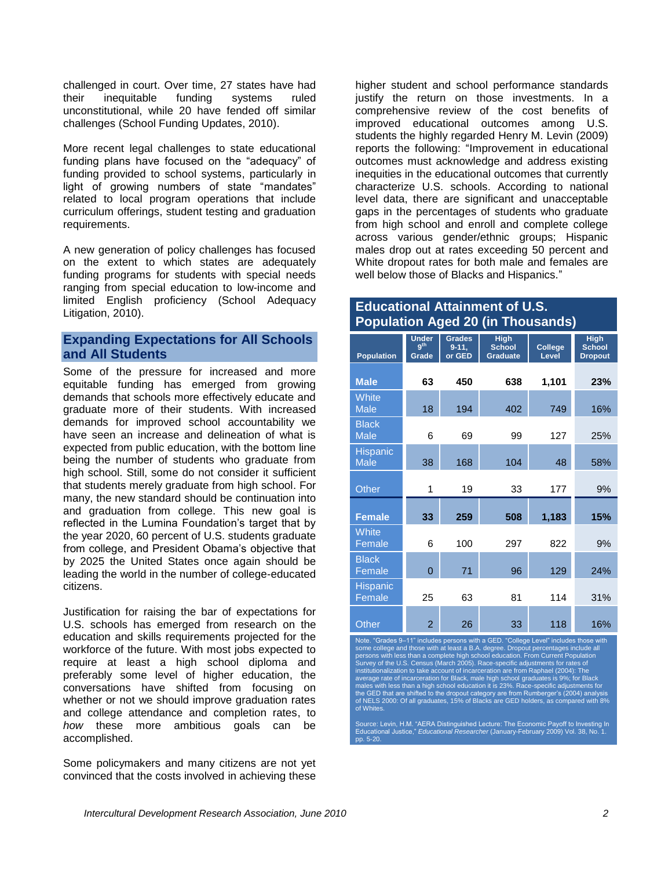challenged in court. Over time, 27 states have had their inequitable funding systems ruled unconstitutional, while 20 have fended off similar challenges (School Funding Updates, 2010).

More recent legal challenges to state educational funding plans have focused on the "adequacy" of funding provided to school systems, particularly in light of growing numbers of state "mandates" related to local program operations that include curriculum offerings, student testing and graduation requirements.

A new generation of policy challenges has focused on the extent to which states are adequately funding programs for students with special needs ranging from special education to low-income and limited English proficiency (School Adequacy Litigation, 2010).

# **Expanding Expectations for All Schools and All Students**

Some of the pressure for increased and more equitable funding has emerged from growing demands that schools more effectively educate and graduate more of their students. With increased demands for improved school accountability we have seen an increase and delineation of what is expected from public education, with the bottom line being the number of students who graduate from high school. Still, some do not consider it sufficient that students merely graduate from high school. For many, the new standard should be continuation into and graduation from college. This new goal is reflected in the Lumina Foundation's target that by the year 2020, 60 percent of U.S. students graduate from college, and President Obama's objective that by 2025 the United States once again should be leading the world in the number of college-educated citizens.

Justification for raising the bar of expectations for U.S. schools has emerged from research on the education and skills requirements projected for the workforce of the future. With most jobs expected to require at least a high school diploma and preferably some level of higher education, the conversations have shifted from focusing on whether or not we should improve graduation rates and college attendance and completion rates, to *how* these more ambitious goals can be accomplished.

Some policymakers and many citizens are not yet convinced that the costs involved in achieving these higher student and school performance standards justify the return on those investments. In a comprehensive review of the cost benefits of improved educational outcomes among U.S. students the highly regarded Henry M. Levin (2009) reports the following: "Improvement in educational outcomes must acknowledge and address existing inequities in the educational outcomes that currently characterize U.S. schools. According to national level data, there are significant and unacceptable gaps in the percentages of students who graduate from high school and enroll and complete college across various gender/ethnic groups; Hispanic males drop out at rates exceeding 50 percent and White dropout rates for both male and females are well below those of Blacks and Hispanics."

## **Educational Attainment of U.S. Population Aged 20 (in Thousands)**

| Population                  | <b>Under</b><br>9 <sup>th</sup><br>Grade | <b>Grades</b><br>$9 - 11$<br>or GED | <b>High</b><br><b>School</b><br><b>Graduate</b> | College<br>Level | <b>High</b><br><b>School</b><br><b>Dropout</b> |
|-----------------------------|------------------------------------------|-------------------------------------|-------------------------------------------------|------------------|------------------------------------------------|
| <b>Male</b>                 | 63                                       | 450                                 | 638                                             | 1,101            | 23%                                            |
| <b>White</b><br><b>Male</b> | 18                                       | 194                                 | 402                                             | 749              | 16%                                            |
| <b>Black</b><br><b>Male</b> | 6                                        | 69                                  | 99                                              | 127              | 25%                                            |
| Hispanic<br><b>Male</b>     | 38                                       | 168                                 | 104                                             | 48               | 58%                                            |
| Other                       | 1                                        | 19                                  | 33                                              | 177              | 9%                                             |
| <b>Female</b>               | 33                                       | 259                                 | 508                                             | 1,183            | 15%                                            |
| White<br>Female             | 6                                        | 100                                 | 297                                             | 822              | 9%                                             |
| <b>Black</b><br>Female      | 0                                        | 71                                  | 96                                              | 129              | 24%                                            |
| Hispanic<br>Female          | 25                                       | 63                                  | 81                                              | 114              | 31%                                            |
| Other                       | $\overline{c}$                           | 26                                  | 33                                              | 118              | 16%                                            |

Note. "Grades 9–11" includes persons with a GED. "College Level" includes those with<br>some college and those with at least a B.A. degree. Dropout percentages include all<br>persons with less than a complete high school educati

Source: Levin, H.M. "AERA Distinguished Lecture: The Economic Payoff to Investing In Educational Justice," *Educational Researcher* (January-February 2009) Vol. 38, No. 1. pp. 5-20.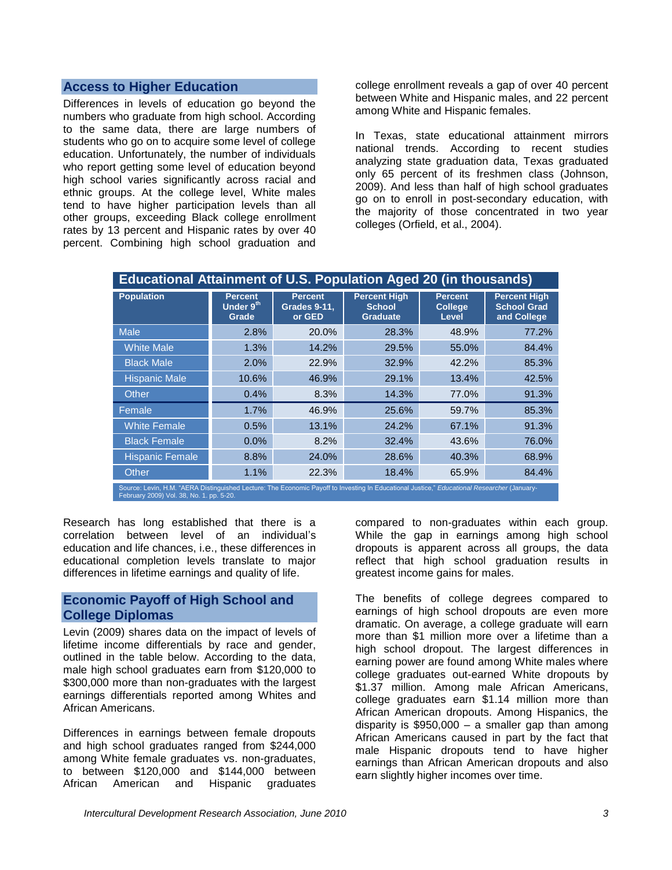### **Access to Higher Education**

Differences in levels of education go beyond the numbers who graduate from high school. According to the same data, there are large numbers of students who go on to acquire some level of college education. Unfortunately, the number of individuals who report getting some level of education beyond high school varies significantly across racial and ethnic groups. At the college level, White males tend to have higher participation levels than all other groups, exceeding Black college enrollment rates by 13 percent and Hispanic rates by over 40 percent. Combining high school graduation and

college enrollment reveals a gap of over 40 percent between White and Hispanic males, and 22 percent among White and Hispanic females.

In Texas, state educational attainment mirrors national trends. According to recent studies analyzing state graduation data, Texas graduated only 65 percent of its freshmen class (Johnson, 2009). And less than half of high school graduates go on to enroll in post-secondary education, with the majority of those concentrated in two year colleges (Orfield, et al., 2004).

| <b>Educational Attainment of U.S. Population Aged 20 (in thousands)</b>                                                                                                                 |                                      |                                                 |                                                         |                                           |                                                          |  |
|-----------------------------------------------------------------------------------------------------------------------------------------------------------------------------------------|--------------------------------------|-------------------------------------------------|---------------------------------------------------------|-------------------------------------------|----------------------------------------------------------|--|
| <b>Population</b>                                                                                                                                                                       | <b>Percent</b><br>Under 9th<br>Grade | <b>Percent</b><br><b>Grades 9-11,</b><br>or GED | <b>Percent High</b><br><b>School</b><br><b>Graduate</b> | <b>Percent</b><br><b>College</b><br>Level | <b>Percent High</b><br><b>School Grad</b><br>and College |  |
| <b>Male</b>                                                                                                                                                                             | 2.8%                                 | 20.0%                                           | 28.3%                                                   | 48.9%                                     | 77.2%                                                    |  |
| <b>White Male</b>                                                                                                                                                                       | 1.3%                                 | 14.2%                                           | 29.5%                                                   | 55.0%                                     | 84.4%                                                    |  |
| <b>Black Male</b>                                                                                                                                                                       | 2.0%                                 | 22.9%                                           | 32.9%                                                   | 42.2%                                     | 85.3%                                                    |  |
| <b>Hispanic Male</b>                                                                                                                                                                    | 10.6%                                | 46.9%                                           | 29.1%                                                   | 13.4%                                     | 42.5%                                                    |  |
| Other                                                                                                                                                                                   | 0.4%                                 | 8.3%                                            | 14.3%                                                   | 77.0%                                     | 91.3%                                                    |  |
| Female                                                                                                                                                                                  | 1.7%                                 | 46.9%                                           | 25.6%                                                   | 59.7%                                     | 85.3%                                                    |  |
| <b>White Female</b>                                                                                                                                                                     | 0.5%                                 | 13.1%                                           | 24.2%                                                   | 67.1%                                     | 91.3%                                                    |  |
| <b>Black Female</b>                                                                                                                                                                     | $0.0\%$                              | 8.2%                                            | 32.4%                                                   | 43.6%                                     | 76.0%                                                    |  |
| <b>Hispanic Female</b>                                                                                                                                                                  | 8.8%                                 | 24.0%                                           | 28.6%                                                   | 40.3%                                     | 68.9%                                                    |  |
| Other                                                                                                                                                                                   | 1.1%                                 | 22.3%                                           | 18.4%                                                   | 65.9%                                     | 84.4%                                                    |  |
| Source: Levin, H.M. "AERA Distinguished Lecture: The Economic Payoff to Investing In Educational Justice," Educational Researcher (January-<br>February 2009) Vol. 38, No. 1. pp. 5-20. |                                      |                                                 |                                                         |                                           |                                                          |  |

Research has long established that there is a correlation between level of an individual's education and life chances, i.e., these differences in educational completion levels translate to major differences in lifetime earnings and quality of life.

## **Economic Payoff of High School and College Diplomas**

Levin (2009) shares data on the impact of levels of lifetime income differentials by race and gender, outlined in the table below. According to the data, male high school graduates earn from \$120,000 to \$300,000 more than non-graduates with the largest earnings differentials reported among Whites and African Americans.

Differences in earnings between female dropouts and high school graduates ranged from \$244,000 among White female graduates vs. non-graduates, to between \$120,000 and \$144,000 between African American and Hispanic graduates

compared to non-graduates within each group. While the gap in earnings among high school dropouts is apparent across all groups, the data reflect that high school graduation results in greatest income gains for males.

The benefits of college degrees compared to earnings of high school dropouts are even more dramatic. On average, a college graduate will earn more than \$1 million more over a lifetime than a high school dropout. The largest differences in earning power are found among White males where college graduates out-earned White dropouts by \$1.37 million. Among male African Americans, college graduates earn \$1.14 million more than African American dropouts. Among Hispanics, the disparity is  $$950,000 - a$  smaller gap than among African Americans caused in part by the fact that male Hispanic dropouts tend to have higher earnings than African American dropouts and also earn slightly higher incomes over time.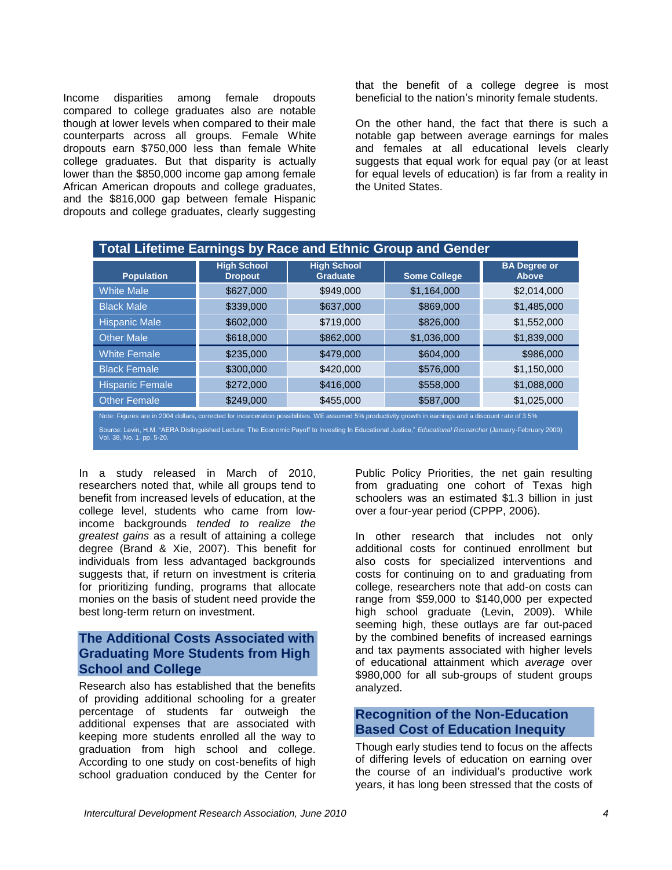Income disparities among female dropouts compared to college graduates also are notable though at lower levels when compared to their male counterparts across all groups. Female White dropouts earn \$750,000 less than female White college graduates. But that disparity is actually lower than the \$850,000 income gap among female African American dropouts and college graduates, and the \$816,000 gap between female Hispanic dropouts and college graduates, clearly suggesting

that the benefit of a college degree is most beneficial to the nation's minority female students.

On the other hand, the fact that there is such a notable gap between average earnings for males and females at all educational levels clearly suggests that equal work for equal pay (or at least for equal levels of education) is far from a reality in the United States.

| <b>Total Lifetime Earnings by Race and Ethnic Group and Gender</b>                                                                                      |                                      |                                       |                     |                              |  |
|---------------------------------------------------------------------------------------------------------------------------------------------------------|--------------------------------------|---------------------------------------|---------------------|------------------------------|--|
| <b>Population</b>                                                                                                                                       | <b>High School</b><br><b>Dropout</b> | <b>High School</b><br><b>Graduate</b> | <b>Some College</b> | <b>BA Degree or</b><br>Above |  |
| <b>White Male</b>                                                                                                                                       | \$627,000                            | \$949,000                             | \$1,164,000         | \$2,014,000                  |  |
| <b>Black Male</b>                                                                                                                                       | \$339,000                            | \$637,000                             | \$869,000           | \$1,485,000                  |  |
| <b>Hispanic Male</b>                                                                                                                                    | \$602,000                            | \$719,000                             | \$826,000           | \$1,552,000                  |  |
| <b>Other Male</b>                                                                                                                                       | \$618,000                            | \$862,000                             | \$1,036,000         | \$1,839,000                  |  |
| <b>White Female</b>                                                                                                                                     | \$235,000                            | \$479,000                             | \$604,000           | \$986,000                    |  |
| <b>Black Female</b>                                                                                                                                     | \$300,000                            | \$420,000                             | \$576,000           | \$1,150,000                  |  |
| <b>Hispanic Female</b>                                                                                                                                  | \$272,000                            | \$416,000                             | \$558,000           | \$1,088,000                  |  |
| <b>Other Female</b>                                                                                                                                     | \$249,000                            | \$455,000                             | \$587,000           | \$1,025,000                  |  |
| Note: Figures are in 2004 dollars, corrected for incarceration possibilities. WE assumed 5% productivity growth in earnings and a discount rate of 3.5% |                                      |                                       |                     |                              |  |

Source: Levin, H.M. "AERA Distinguished Lecture: The Economic Payoff to Investing In Educational Justice," *Educational Researcher* (January-February 2009)<br>Vol. 38, No. 1. pp. 5-20.

In a study released in March of 2010, researchers noted that, while all groups tend to benefit from increased levels of education, at the college level, students who came from lowincome backgrounds *tended to realize the greatest gains* as a result of attaining a college degree (Brand & Xie, 2007). This benefit for individuals from less advantaged backgrounds suggests that, if return on investment is criteria for prioritizing funding, programs that allocate monies on the basis of student need provide the best long-term return on investment.

## **The Additional Costs Associated with Graduating More Students from High School and College**

Research also has established that the benefits of providing additional schooling for a greater percentage of students far outweigh the additional expenses that are associated with keeping more students enrolled all the way to graduation from high school and college. According to one study on cost-benefits of high school graduation conduced by the Center for

Public Policy Priorities, the net gain resulting from graduating one cohort of Texas high schoolers was an estimated \$1.3 billion in just over a four-year period (CPPP, 2006).

In other research that includes not only additional costs for continued enrollment but also costs for specialized interventions and costs for continuing on to and graduating from college, researchers note that add-on costs can range from \$59,000 to \$140,000 per expected high school graduate (Levin, 2009). While seeming high, these outlays are far out-paced by the combined benefits of increased earnings and tax payments associated with higher levels of educational attainment which *average* over \$980,000 for all sub-groups of student groups analyzed.

## **Recognition of the Non-Education Based Cost of Education Inequity**

Though early studies tend to focus on the affects of differing levels of education on earning over the course of an individual's productive work years, it has long been stressed that the costs of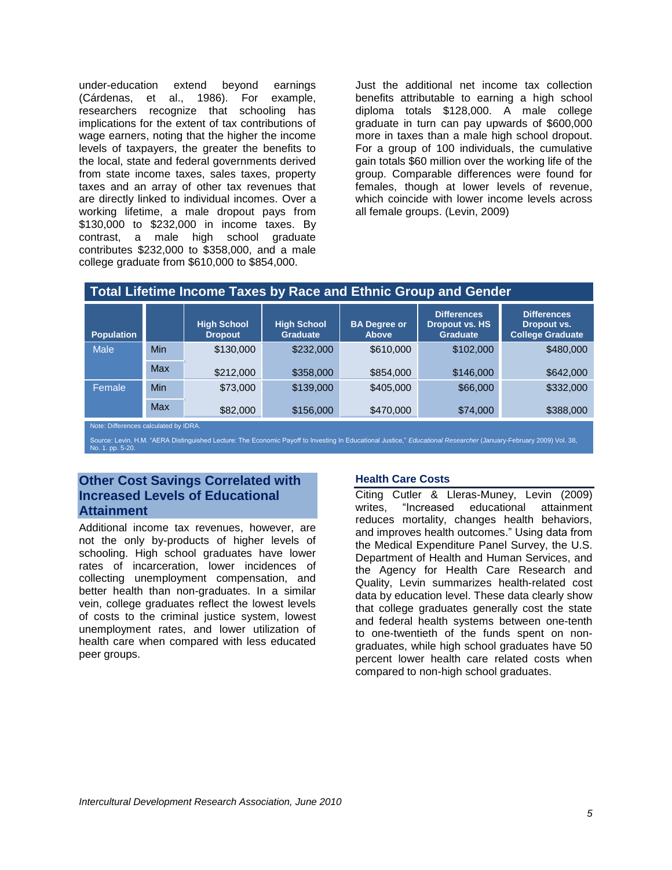under-education extend beyond earnings (Cárdenas, et al., 1986). For example, researchers recognize that schooling has implications for the extent of tax contributions of wage earners, noting that the higher the income levels of taxpayers, the greater the benefits to the local, state and federal governments derived from state income taxes, sales taxes, property taxes and an array of other tax revenues that are directly linked to individual incomes. Over a working lifetime, a male dropout pays from \$130,000 to \$232,000 in income taxes. By contrast, a male high school graduate contributes \$232,000 to \$358,000, and a male college graduate from \$610,000 to \$854,000.

Just the additional net income tax collection benefits attributable to earning a high school diploma totals \$128,000. A male college graduate in turn can pay upwards of \$600,000 more in taxes than a male high school dropout. For a group of 100 individuals, the cumulative gain totals \$60 million over the working life of the group. Comparable differences were found for females, though at lower levels of revenue, which coincide with lower income levels across all female groups. (Levin, 2009)

| Total Lifetime Income Taxes by Race and Ethnic Group and Gender |  |  |
|-----------------------------------------------------------------|--|--|
|-----------------------------------------------------------------|--|--|

| <b>Population</b> |     | <b>High School</b><br><b>Dropout</b> | <b>High School</b><br><b>Graduate</b> | <b>BA</b> Degree or<br><b>Above</b> | <b>Differences</b><br><b>Dropout vs. HS</b><br><b>Graduate</b> | <b>Differences</b><br>Dropout vs.<br>College Graduate |
|-------------------|-----|--------------------------------------|---------------------------------------|-------------------------------------|----------------------------------------------------------------|-------------------------------------------------------|
| <b>Male</b>       | Min | \$130,000                            | \$232,000                             | \$610,000                           | \$102,000                                                      | \$480,000                                             |
|                   | Max | \$212,000                            | \$358,000                             | \$854,000                           | \$146,000                                                      | \$642,000                                             |
| Female            | Min | \$73,000                             | \$139,000                             | \$405,000                           | \$66,000                                                       | \$332,000                                             |
|                   | Max | \$82,000                             | \$156,000                             | \$470,000                           | \$74,000                                                       | \$388,000                                             |

Note: Differences calculated by IDRA.

Source: Levin, H.M. "AERA Distinguished Lecture: The Economic Payoff to Investing In Educational Justice," Educational Researcher (January-February 2009) Vol. 38, No. 1. pp. 5-20.

# **Other Cost Savings Correlated with Increased Levels of Educational Attainment**

Additional income tax revenues, however, are not the only by-products of higher levels of schooling. High school graduates have lower rates of incarceration, lower incidences of collecting unemployment compensation, and better health than non-graduates. In a similar vein, college graduates reflect the lowest levels of costs to the criminal justice system, lowest unemployment rates, and lower utilization of health care when compared with less educated peer groups.

## **Health Care Costs**

Citing Cutler & Lleras-Muney, Levin (2009) writes, "Increased educational attainment reduces mortality, changes health behaviors, and improves health outcomes." Using data from the Medical Expenditure Panel Survey, the U.S. Department of Health and Human Services, and the Agency for Health Care Research and Quality, Levin summarizes health-related cost data by education level. These data clearly show that college graduates generally cost the state and federal health systems between one-tenth to one-twentieth of the funds spent on nongraduates, while high school graduates have 50 percent lower health care related costs when compared to non-high school graduates.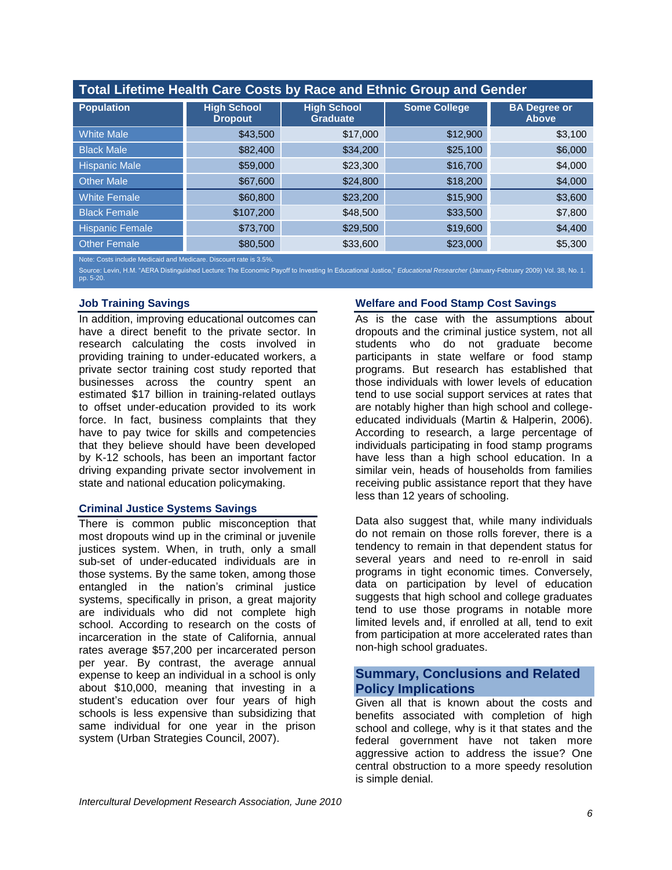| Total Lifetime Health Care Costs by Race and Ethnic Group and Gender |                                      |                                       |                     |                                     |  |  |
|----------------------------------------------------------------------|--------------------------------------|---------------------------------------|---------------------|-------------------------------------|--|--|
| <b>Population</b>                                                    | <b>High School</b><br><b>Dropout</b> | <b>High School</b><br><b>Graduate</b> | <b>Some College</b> | <b>BA Degree or</b><br><b>Above</b> |  |  |
| <b>White Male</b>                                                    | \$43,500                             | \$17,000                              | \$12,900            | \$3,100                             |  |  |
| <b>Black Male</b>                                                    | \$82,400                             | \$34,200                              | \$25,100            | \$6,000                             |  |  |
| <b>Hispanic Male</b>                                                 | \$59,000                             | \$23,300                              | \$16,700            | \$4,000                             |  |  |
| <b>Other Male</b>                                                    | \$67,600                             | \$24,800                              | \$18,200            | \$4,000                             |  |  |
| <b>White Female</b>                                                  | \$60,800                             | \$23,200                              | \$15,900            | \$3,600                             |  |  |
| <b>Black Female</b>                                                  | \$107,200                            | \$48,500                              | \$33,500            | \$7,800                             |  |  |
| <b>Hispanic Female</b>                                               | \$73,700                             | \$29,500                              | \$19,600            | \$4,400                             |  |  |
| <b>Other Female</b>                                                  | \$80,500                             | \$33,600                              | \$23,000            | \$5,300                             |  |  |

Note: Costs include Medicaid and Medicare. Discount rate is 3.5%.

Source: Levin, H.M. "AERA Distinguished Lecture: The Economic Payoff to Investing In Educational Justice," *Educational Researcher* (January-February 2009) Vol. 38, No. 1. pp. 5-20.

#### **Job Training Savings**

In addition, improving educational outcomes can have a direct benefit to the private sector. In research calculating the costs involved in providing training to under-educated workers, a private sector training cost study reported that businesses across the country spent an estimated \$17 billion in training-related outlays to offset under-education provided to its work force. In fact, business complaints that they have to pay twice for skills and competencies that they believe should have been developed by K-12 schools, has been an important factor driving expanding private sector involvement in state and national education policymaking.

#### **Criminal Justice Systems Savings**

There is common public misconception that most dropouts wind up in the criminal or juvenile justices system. When, in truth, only a small sub-set of under-educated individuals are in those systems. By the same token, among those entangled in the nation's criminal justice systems, specifically in prison, a great majority are individuals who did not complete high school. According to research on the costs of incarceration in the state of California, annual rates average \$57,200 per incarcerated person per year. By contrast, the average annual expense to keep an individual in a school is only about \$10,000, meaning that investing in a student's education over four years of high schools is less expensive than subsidizing that same individual for one year in the prison system (Urban Strategies Council, 2007).

#### **Welfare and Food Stamp Cost Savings**

As is the case with the assumptions about dropouts and the criminal justice system, not all students who do not graduate become participants in state welfare or food stamp programs. But research has established that those individuals with lower levels of education tend to use social support services at rates that are notably higher than high school and collegeeducated individuals (Martin & Halperin, 2006). According to research, a large percentage of individuals participating in food stamp programs have less than a high school education. In a similar vein, heads of households from families receiving public assistance report that they have less than 12 years of schooling.

Data also suggest that, while many individuals do not remain on those rolls forever, there is a tendency to remain in that dependent status for several years and need to re-enroll in said programs in tight economic times. Conversely, data on participation by level of education suggests that high school and college graduates tend to use those programs in notable more limited levels and, if enrolled at all, tend to exit from participation at more accelerated rates than non-high school graduates.

# **Summary, Conclusions and Related Policy Implications**

Given all that is known about the costs and benefits associated with completion of high school and college, why is it that states and the federal government have not taken more aggressive action to address the issue? One central obstruction to a more speedy resolution is simple denial.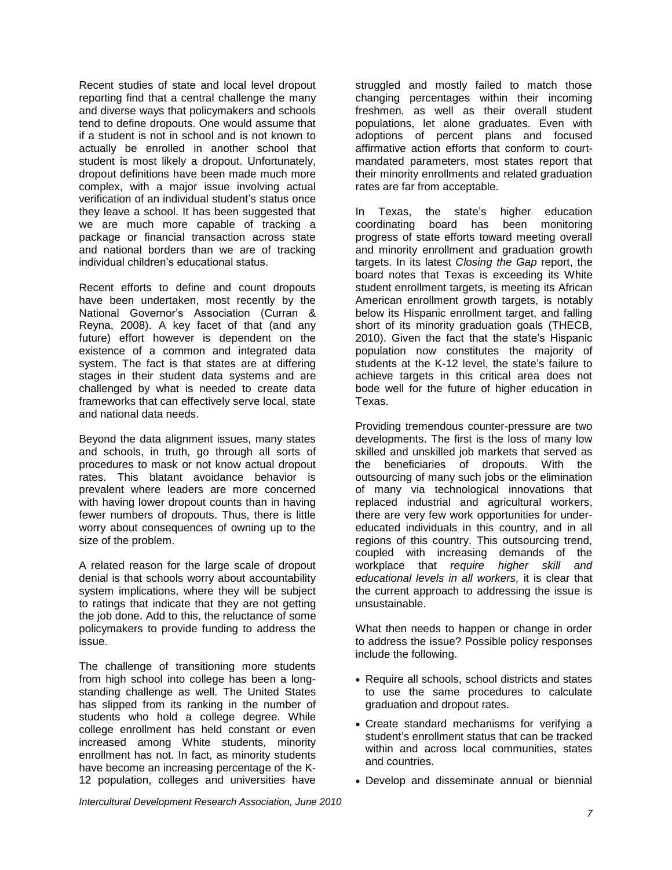Recent studies of state and local level dropout reporting find that a central challenge the many and diverse ways that policymakers and schools tend to define dropouts. One would assume that if a student is not in school and is not known to actually be enrolled in another school that student is most likely a dropout. Unfortunately, dropout definitions have been made much more complex, with a major issue involving actual verification of an individual student's status once they leave a school. It has been suggested that we are much more capable of tracking a package or financial transaction across state and national borders than we are of tracking individual children's educational status.

Recent efforts to define and count dropouts have been undertaken, most recently by the National Governor's Association (Curran & Reyna, 2008). A key facet of that (and any future) effort however is dependent on the existence of a common and integrated data system. The fact is that states are at differing stages in their student data systems and are challenged by what is needed to create data frameworks that can effectively serve local, state and national data needs.

Beyond the data alignment issues, many states and schools, in truth, go through all sorts of procedures to mask or not know actual dropout rates. This blatant avoidance behavior is prevalent where leaders are more concerned with having lower dropout counts than in having fewer numbers of dropouts. Thus, there is little worry about consequences of owning up to the size of the problem.

A related reason for the large scale of dropout denial is that schools worry about accountability system implications, where they will be subject to ratings that indicate that they are not getting the job done. Add to this, the reluctance of some policymakers to provide funding to address the issue.

The challenge of transitioning more students from high school into college has been a longstanding challenge as well. The United States has slipped from its ranking in the number of students who hold a college degree. While college enrollment has held constant or even increased among White students, minority enrollment has not. In fact, as minority students have become an increasing percentage of the K-12 population, colleges and universities have

struggled and mostly failed to match those changing percentages within their incoming freshmen, as well as their overall student populations, let alone graduates. Even with adoptions of percent plans and focused affirmative action efforts that conform to courtmandated parameters, most states report that their minority enrollments and related graduation rates are far from acceptable.

In Texas, the state's higher education coordinating board has been monitoring progress of state efforts toward meeting overall and minority enrollment and graduation growth targets. In its latest *Closing the Gap* report, the board notes that Texas is exceeding its White student enrollment targets, is meeting its African American enrollment growth targets, is notably below its Hispanic enrollment target, and falling short of its minority graduation goals (THECB, 2010). Given the fact that the state's Hispanic population now constitutes the majority of students at the K-12 level, the state's failure to achieve targets in this critical area does not bode well for the future of higher education in Texas.

Providing tremendous counter-pressure are two developments. The first is the loss of many low skilled and unskilled job markets that served as the beneficiaries of dropouts. With the outsourcing of many such jobs or the elimination of many via technological innovations that replaced industrial and agricultural workers, there are very few work opportunities for undereducated individuals in this country, and in all regions of this country. This outsourcing trend, coupled with increasing demands of the workplace that *require higher skill and educational levels in all workers,* it is clear that the current approach to addressing the issue is unsustainable.

What then needs to happen or change in order to address the issue? Possible policy responses include the following.

- Require all schools, school districts and states to use the same procedures to calculate graduation and dropout rates.
- Create standard mechanisms for verifying a student's enrollment status that can be tracked within and across local communities, states and countries.
- Develop and disseminate annual or biennial

*Intercultural Development Research Association, June 2010*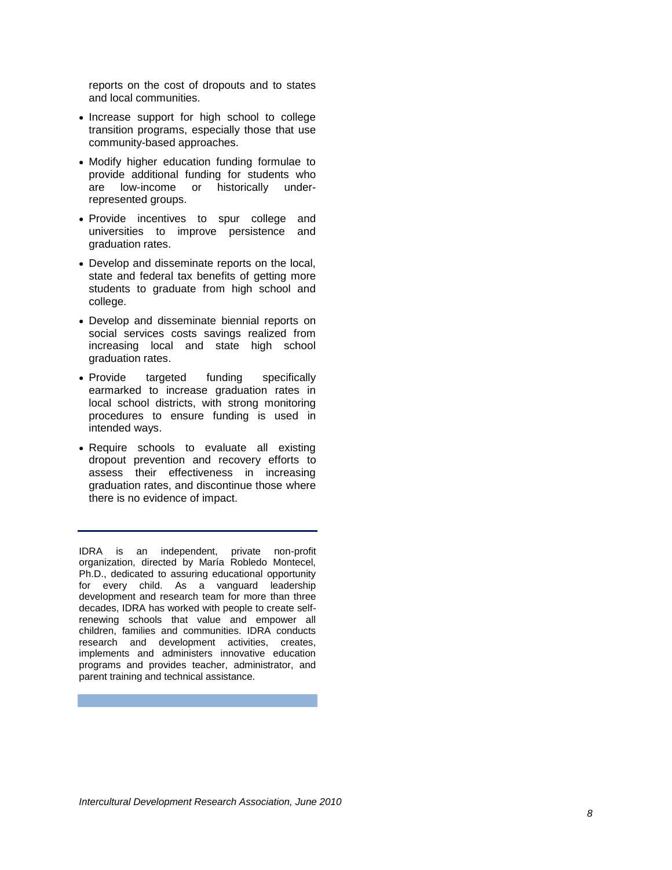reports on the cost of dropouts and to states and local communities .

- Increase support for high school to college transition program s, especially those that use community -based approaches.
- Modify higher education funding formulae to provide additional funding for students who are low -income or historically under underrepresented groups.
- Provide incentives to spur college and universities to improve persistence and graduation rates.
- Develop and disseminate reports on the local, state and federal tax benefits of getting more students to graduate from high school and college.
- Develop and disseminate biennial reports on social services costs savings realized from increasing local and state high school graduation rates .
- Provide targeted funding specifically earmarked to increase graduation rates in local school districts, with strong monitoring procedures to ensure funding is used in intended ways.
- Require schools to evaluate all existing dropout prevention and recovery efforts to assess their effectiveness in increasing graduation rates, and discontinue those where there is no evidence of im p act.

IDRA is an independent, private non -profit organization, directed by María Robledo Montecel, Ph.D., dedicated to assuring educational opportunity for every child. As a vanguard leadership development and research team for more than three decades, IDRA has worked with people to create self renewing schools that value and empower all children, families and communities. IDRA conducts research and development activities, creates, implements and administers innovative education programs and provides teacher, administrator, and parent training and technical assistance.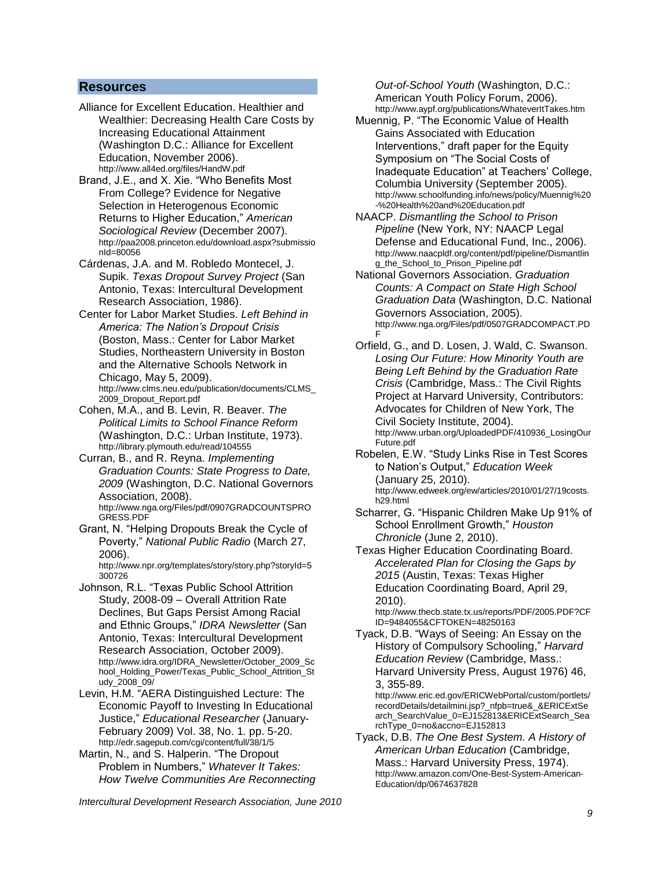#### **Resources**

- Alliance for Excellent Education. Healthier and Wealthier: Decreasing Health Care Costs by Increasing Educational Attainment (Washington D.C.: Alliance for Excellent Education, November 2006). <http://www.all4ed.org/files/HandW.pdf>
- Brand, J.E., and X. Xie. "Who Benefits Most From College? Evidence for Negative Selection in Heterogenous Economic Returns to Higher Education," *American Sociological Review* (December 2007). [http://paa2008.princeton.edu/download.aspx?submissio](http://paa2008.princeton.edu/download.aspx?submissionId=80056) [nId=80056](http://paa2008.princeton.edu/download.aspx?submissionId=80056)
- Cárdenas, J.A. and M. Robledo Montecel, J. Supik. *Texas Dropout Survey Project* (San Antonio, Texas: Intercultural Development Research Association, 1986).
- Center for Labor Market Studies. *Left Behind in America: The Nation's Dropout Crisis* (Boston, Mass.: Center for Labor Market Studies, Northeastern University in Boston and the Alternative Schools Network in Chicago, May 5, 2009). [http://www.clms.neu.edu/publication/documents/CLMS\\_](http://www.clms.neu.edu/publication/documents/CLMS_2009_Dropout_Report.pdf) [2009\\_Dropout\\_Report.pdf](http://www.clms.neu.edu/publication/documents/CLMS_2009_Dropout_Report.pdf)
- Cohen, M.A., and B. Levin, R. Beaver. *The Political Limits to School Finance Reform* (Washington, D.C.: Urban Institute, 1973). <http://library.plymouth.edu/read/104555>
- Curran, B., and R. Reyna. *Implementing Graduation Counts: State Progress to Date, 2009* (Washington, D.C. National Governors Association, 2008). [http://www.nga.org/Files/pdf/0907GRADCOUNTSPRO](http://www.nga.org/Files/pdf/0907GRADCOUNTSPROGRESS.PDF) [GRESS.PDF](http://www.nga.org/Files/pdf/0907GRADCOUNTSPROGRESS.PDF)
- Grant, N. "Helping Dropouts Break the Cycle of Poverty," *National Public Radio* (March 27, 2006).

[http://www.npr.org/templates/story/story.php?storyId=5](http://www.npr.org/templates/story/story.php?storyId=5300726) [300726](http://www.npr.org/templates/story/story.php?storyId=5300726)

- Johnson, R.L. "Texas Public School Attrition Study, 2008-09 – Overall Attrition Rate Declines, But Gaps Persist Among Racial and Ethnic Groups," *IDRA Newsletter* (San Antonio, Texas: Intercultural Development Research Association, October 2009). [http://www.idra.org/IDRA\\_Newsletter/October\\_2009\\_Sc](http://www.idra.org/IDRA_Newsletter/October_2009_School_Holding_Power/Texas_Public_School_Attrition_Study_2008_09/) [hool\\_Holding\\_Power/Texas\\_Public\\_School\\_Attrition\\_St](http://www.idra.org/IDRA_Newsletter/October_2009_School_Holding_Power/Texas_Public_School_Attrition_Study_2008_09/) [udy\\_2008\\_09/](http://www.idra.org/IDRA_Newsletter/October_2009_School_Holding_Power/Texas_Public_School_Attrition_Study_2008_09/)
- Levin, H.M. "AERA Distinguished Lecture: The Economic Payoff to Investing In Educational Justice," *Educational Researcher* (January-February 2009) Vol. 38, No. 1. pp. 5-20. <http://edr.sagepub.com/cgi/content/full/38/1/5>
- Martin, N., and S. Halperin. "The Dropout Problem in Numbers," *Whatever It Takes: How Twelve Communities Are Reconnecting*

*Out-of-School Youth* (Washington, D.C.: American Youth Policy Forum, 2006). <http://www.aypf.org/publications/WhateverItTakes.htm>

- Muennig, P. "The Economic Value of Health Gains Associated with Education Interventions," draft paper for the Equity Symposium on "The Social Costs of Inadequate Education" at Teachers' College, Columbia University (September 2005). [http://www.schoolfunding.info/news/policy/Muennig%20](http://www.schoolfunding.info/news/policy/Muennig%20-%20Health%20and%20Education.pdf) [-%20Health%20and%20Education.pdf](http://www.schoolfunding.info/news/policy/Muennig%20-%20Health%20and%20Education.pdf)
- NAACP. *Dismantling the School to Prison Pipeline* (New York, NY: NAACP Legal Defense and Educational Fund, Inc., 2006). [http://www.naacpldf.org/content/pdf/pipeline/Dismantlin](http://www.naacpldf.org/content/pdf/pipeline/Dismantling_the_School_to_Prison_Pipeline.pdf) [g\\_the\\_School\\_to\\_Prison\\_Pipeline.pdf](http://www.naacpldf.org/content/pdf/pipeline/Dismantling_the_School_to_Prison_Pipeline.pdf)
- National Governors Association. *Graduation Counts: A Compact on State High School Graduation Data* (Washington, D.C. National Governors Association, 2005). [http://www.nga.org/Files/pdf/0507GRADCOMPACT.PD](http://www.nga.org/Files/pdf/0507GRADCOMPACT.PDF) [F](http://www.nga.org/Files/pdf/0507GRADCOMPACT.PDF)
- Orfield, G., and D. Losen, J. Wald, C. Swanson. *Losing Our Future: How Minority Youth are Being Left Behind by the Graduation Rate Crisis* (Cambridge, Mass.: The Civil Rights Project at Harvard University, Contributors: Advocates for Children of New York, The Civil Society Institute, 2004). [http://www.urban.org/UploadedPDF/410936\\_LosingOur](http://www.urban.org/UploadedPDF/410936_LosingOurFuture.pdf) [Future.pdf](http://www.urban.org/UploadedPDF/410936_LosingOurFuture.pdf)
- Robelen, E.W. "Study Links Rise in Test Scores to Nation's Output," *Education Week* (January 25, 2010). [http://www.edweek.org/ew/articles/2010/01/27/19costs.](http://www.edweek.org/ew/articles/2010/01/27/19costs.h29.html) [h29.html](http://www.edweek.org/ew/articles/2010/01/27/19costs.h29.html)
- Scharrer, G. "Hispanic Children Make Up 91% of School Enrollment Growth," *Houston Chronicle* (June 2, 2010).

Texas Higher Education Coordinating Board. *Accelerated Plan for Closing the Gaps by 2015* (Austin, Texas: Texas Higher Education Coordinating Board, April 29, 2010).

[http://www.thecb.state.tx.us/reports/PDF/2005.PDF?CF](http://www.thecb.state.tx.us/reports/PDF/2005.PDF?CFID=9484055&CFTOKEN=48250163) [ID=9484055&CFTOKEN=48250163](http://www.thecb.state.tx.us/reports/PDF/2005.PDF?CFID=9484055&CFTOKEN=48250163)

Tyack, D.B. "Ways of Seeing: An Essay on the History of Compulsory Schooling," *Harvard Education Review* (Cambridge, Mass.: Harvard University Press, August 1976) 46, 3, 355-89.

http://www.eric.ed.gov/ERICWebPortal/custom/portlets/ recordDetails/detailmini.jsp?\_nfpb=true&\_&ERICExtSe arch\_SearchValue\_0=EJ152813&ERICExtSearch\_Sea rchType\_0=no&accno=EJ152813

Tyack, D.B. *The One Best System. A History of American Urban Education* (Cambridge, Mass.: Harvard University Press, 1974). [http://www.amazon.com/One-Best-System-American-](http://www.amazon.com/One-Best-System-American-Education/dp/0674637828)[Education/dp/0674637828](http://www.amazon.com/One-Best-System-American-Education/dp/0674637828)

*Intercultural Development Research Association, June 2010*